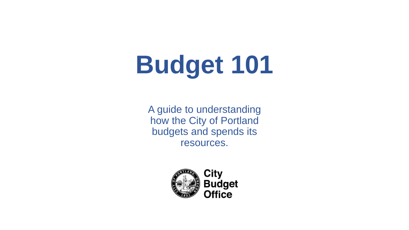# **Budget 101**

A guide to understanding how the City of Portland budgets and spends its resources.

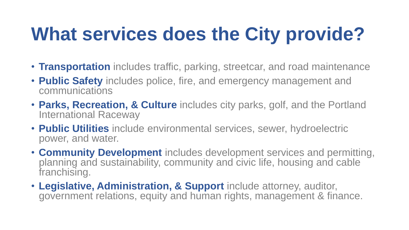## **What services does the City provide?**

- **Transportation** includes traffic, parking, streetcar, and road maintenance
- **Public Safety** includes police, fire, and emergency management and communications
- **Parks, Recreation, & Culture** includes city parks, golf, and the Portland International Raceway
- **Public Utilities** include environmental services, sewer, hydroelectric power, and water.
- **Community Development** includes development services and permitting, planning and sustainability, community and civic life, housing and cable franchising.
- **Legislative, Administration, & Support** include attorney, auditor, government relations, equity and human rights, management & finance.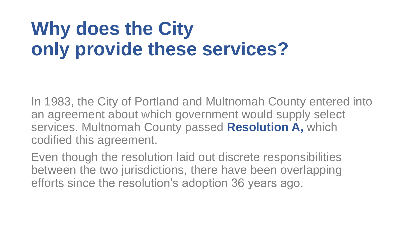## **Why does the City only provide these services?**

In 1983, the City of Portland and Multnomah County entered into an agreement about which government would supply select services. Multnomah County passed **Resolution A,** which codified this agreement.

Even though the resolution laid out discrete responsibilities between the two jurisdictions, there have been overlapping efforts since the resolution's adoption 36 years ago.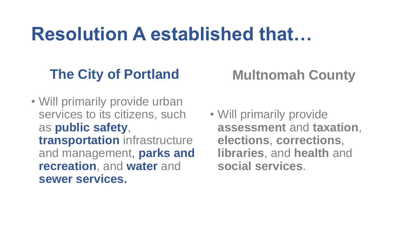## **Resolution A established that…**

### **The City of Portland**

### **Multnomah County**

- Will primarily provide urban services to its citizens, such as **public safety**, **transportation** infrastructure and management, **parks and recreation**, and **water** and **sewer services.**
- Will primarily provide **assessment** and **taxation**, **elections**, **corrections**, **libraries**, and **health** and **social services**.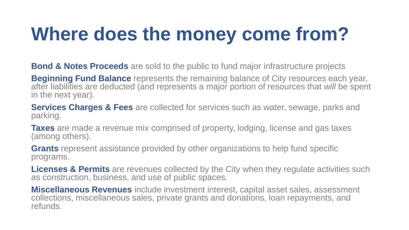## **Where does the money come from?**

**Bond & Notes Proceeds** are sold to the public to fund major infrastructure projects

**Beginning Fund Balance** represents the remaining balance of City resources each year, after liabilities are deducted (and represents a major portion of resources that *will* be spent in the next year).

**Services Charges & Fees** are collected for services such as water, sewage, parks and parking.

**Taxes** are made a revenue mix comprised of property, lodging, license and gas taxes (among others).

**Grants** represent assistance provided by other organizations to help fund specific programs.

**Licenses & Permits** are revenues collected by the City when they regulate activities such as construction, business, and use of public spaces.

**Miscellaneous Revenues** include investment interest, capital asset sales, assessment collections, miscellaneous sales, private grants and donations, loan repayments, and refunds.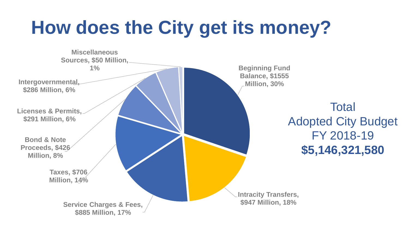## **How does the City get its money?**

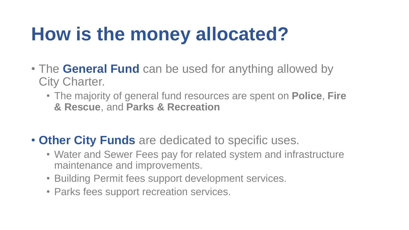## **How is the money allocated?**

- The **General Fund** can be used for anything allowed by City Charter.
	- The majority of general fund resources are spent on **Police**, **Fire & Rescue**, and **Parks & Recreation**
- **Other City Funds** are dedicated to specific uses.
	- Water and Sewer Fees pay for related system and infrastructure maintenance and improvements.
	- Building Permit fees support development services.
	- Parks fees support recreation services.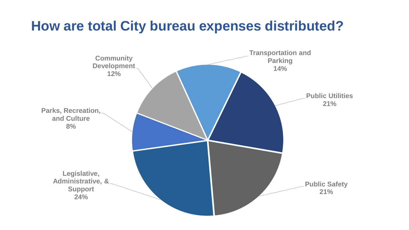#### **How are total City bureau expenses distributed?**

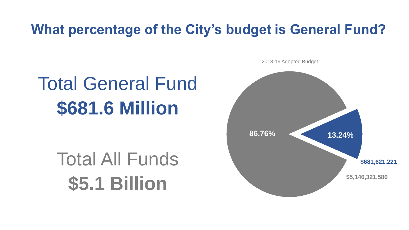#### **What percentage of the City's budget is General Fund?**

## Total General Fund **\$681.6 Million**

## Total All Funds **\$5.1 Billion**

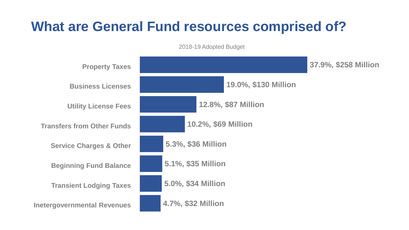#### **What are General Fund resources comprised of?**

**4.7%, \$32 Million 5.0%, \$34 Million 5.1%, \$35 Million 5.3%, \$36 Million 10.2%, \$69 Million 12.8%, \$87 Million 19.0%, \$130 Million 37.9%, \$258 Million Inetergovernmental Revenues Transient Lodging Taxes Beginning Fund Balance Service Charges & Other Transfers from Other Funds Utility License Fees Business Licenses Property Taxes**

2018-19 Adopted Budget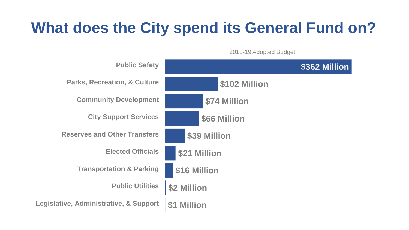### **What does the City spend its General Fund on?**

2018-19 Adopted Budget

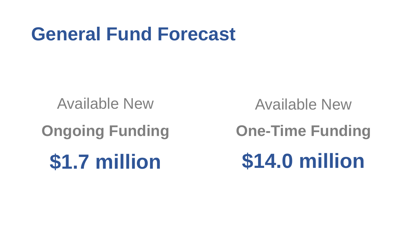## **General Fund Forecast**

Available New

**Ongoing Funding** 

**\$1.7 million**

Available New

**One-Time Funding \$14.0 million**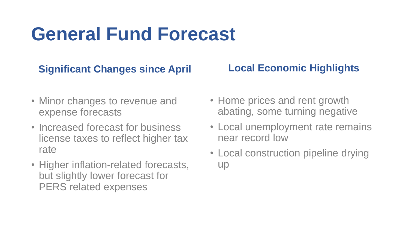## **General Fund Forecast**

#### **Significant Changes since April**

#### **Local Economic Highlights**

- Minor changes to revenue and expense forecasts
- Increased forecast for business license taxes to reflect higher tax rate
- Higher inflation-related forecasts, but slightly lower forecast for PERS related expenses
- Home prices and rent growth abating, some turning negative
- Local unemployment rate remains near record low
- Local construction pipeline drying up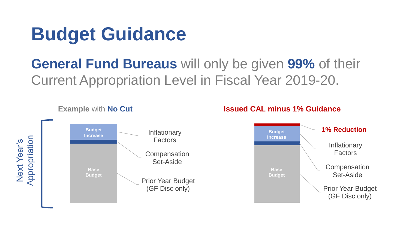## **Budget Guidance**

### **General Fund Bureaus** will only be given **99%** of their Current Appropriation Level in Fiscal Year 2019-20.



#### **Example** with **No Cut Issued CAL minus 1% Guidance**

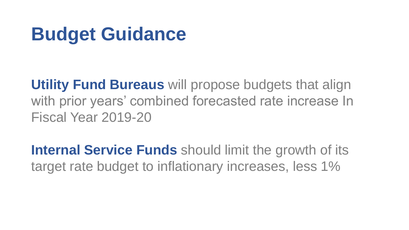## **Budget Guidance**

**Utility Fund Bureaus** will propose budgets that align with prior years' combined forecasted rate increase In Fiscal Year 2019-20

**Internal Service Funds** should limit the growth of its target rate budget to inflationary increases, less 1%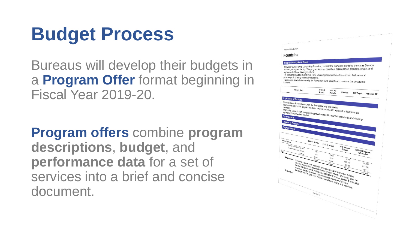## **Budget Process**

Bureaus will develop their budgets in a **Program Offer** format beginning in Fiscal Year 2019-20.

**Program offers** combine **program descriptions**, **budget**, and **performance data** for a set of services into a brief and concise document.

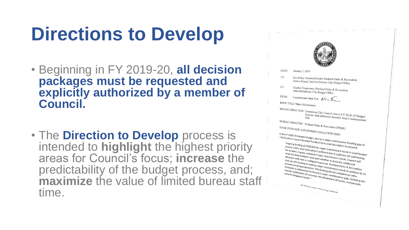## **Directions to Develop**

- Beginning in FY 2019-20, **all decision packages must be requested and explicitly authorized by a member of Council.**
- The **Direction to Develop** process is intended to **highlight** the highest priority areas for Council's focus; **increase** the predictability of the budget process, and; **maximize** the value of limited bureau staff time.



DATE: January 7, 2019

- Kia Selley, Interim-Director Portland Parks & Recreation TO: Jessica Kinard, Interim-Director City Budget Office
- $CC:$ Claudio Campuzano, Portland Parks & Recreation<br>Asha Bellduboset City Budoet OC Asha Bellduboset, City Budget Office

FROM: Commissioner Nick Fish  $N$ 

ISSUE TITLE: Major Maintenance

ISSUING DIRECTION: Unanimous City Council vote in FY 2018-19 Budget<br>Fish with additional direction from Corea Committee in FY 2018-19 Budget<br>Process, with additional direction from Commissioner BUREAU DIRECTED: Portland Parks & Recreation (PP&R)

ISSUE OVERVIEW AND DESIRED GOAL/OUTCOME:<br>In the FY 2018-19 Adons . .

In the FY 2018-19 AND DESIRED GOAL/OUTCOME:<br>
"\$450 million, Council directed Portland Parks and Recreation to request.<br>
"Saso million, Council directed Portland Parks and Recreation to request.<br>
Process unsil of \$500,000 the FY 2018-19 Adopted Budget, due to a major maintenance funding got<br>
"\$450 million, Council directed Portland Parks and Recreation to request:<br>
"ongoing funding of \$500,000 for major maintenance funding got<br>
process unti "ongoing funding of \$500,000 for major maintenance funding gap of<br>process until a level of funding of stop,000 for major maintenance needs in each budget<br>the bureau's regular, scheduled is achieved that is sufficient for a omgoing funding of \$500,000 for all the Recreation to request:<br>the bureau's regular, scheduled major maintenance needs in each budge<br>the bureau's regular, scheduled major maintenance needs in each budge<br>make the determinat rocussimiti a level of funding is analog maintenance needs, counter the bureau's regular, scheduled major maintenance needs in each bua<br>make the determination each year whether that is sufficient for addressing<br>allocation make the determination each pear whether to fund the first script<br>and the determination each year whether to fund the sufficient for add<br>allocation with new or realigned resources, performance needs. Council<br>shall use this """ en determination each year whether to further for addressing<br>shall use this funding to address may be the function with new or realigned resources. Portind this additional<br>shall use this funding to address major mainte since this funding to address major maintenance needs. Council<br>stall use this funding to address major maintenance needs. Council<br>current annual appropriation. This funding to address major maintenance needs in addring<br>str Frame this funding to address major maintenance and this additional<br>strategies in addressing the bureau's major maintenance needs in addressing<br>internal reallocation of resources. This funding should complement ddittion<br>Ge strategies in address major maintenance needs in addressing the strategies in addressing the bureau's major maintenance needs in addition to its internal reallocation of resources, the divesting theories of  $\epsilon$  and  $\epsilon$  i

suategies in addressing the bureau's maintenance needs in Recreation<br>internal reallocation of resources, the divestment of manifold to General Obligation for<br>Seneral Obligation bonds,"<br> $\frac{1}{2}$ <br> $\frac{1}{2}$ <br> $\frac{1}{2}$ <br> $\frac{1}{$ 1221 SW Fourth Avenue + Portland, Oregon 97204-1998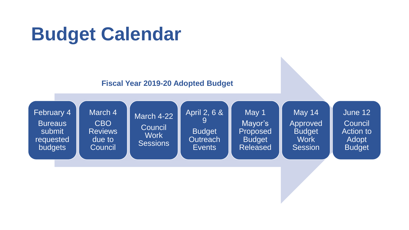## **Budget Calendar**